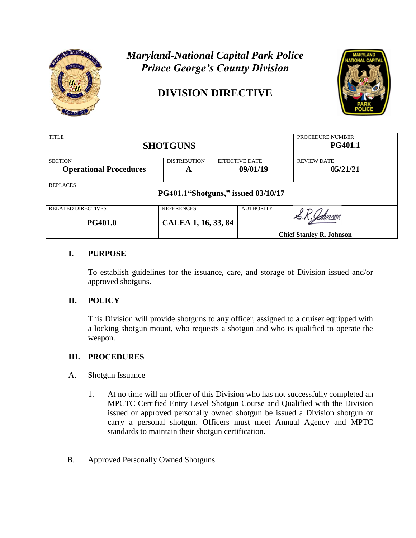

# *Maryland-National Capital Park Police Prince George's County Division*

## **DIVISION DIRECTIVE**



| <b>TITLE</b><br><b>SHOTGUNS</b>                       |                                          |                       |                  | PROCEDURE NUMBER<br><b>PG401.1</b> |
|-------------------------------------------------------|------------------------------------------|-----------------------|------------------|------------------------------------|
| <b>SECTION</b>                                        | <b>DISTRIBUTION</b>                      | <b>EFFECTIVE DATE</b> |                  | <b>REVIEW DATE</b>                 |
| <b>Operational Procedures</b>                         | A                                        |                       | 09/01/19         | 05/21/21                           |
| <b>REPLACES</b><br>PG401.1"Shotguns," issued 03/10/17 |                                          |                       |                  |                                    |
| <b>RELATED DIRECTIVES</b><br><b>PG401.0</b>           | <b>REFERENCES</b><br>CALEA 1, 16, 33, 84 |                       | <b>AUTHORITY</b> |                                    |
|                                                       | <b>Chief Stanley R. Johnson</b>          |                       |                  |                                    |

### **I. PURPOSE**

To establish guidelines for the issuance, care, and storage of Division issued and/or approved shotguns.

### **II. POLICY**

This Division will provide shotguns to any officer, assigned to a cruiser equipped with a locking shotgun mount, who requests a shotgun and who is qualified to operate the weapon.

### **III. PROCEDURES**

- A. Shotgun Issuance
	- 1. At no time will an officer of this Division who has not successfully completed an MPCTC Certified Entry Level Shotgun Course and Qualified with the Division issued or approved personally owned shotgun be issued a Division shotgun or carry a personal shotgun. Officers must meet Annual Agency and MPTC standards to maintain their shotgun certification.
- B. Approved Personally Owned Shotguns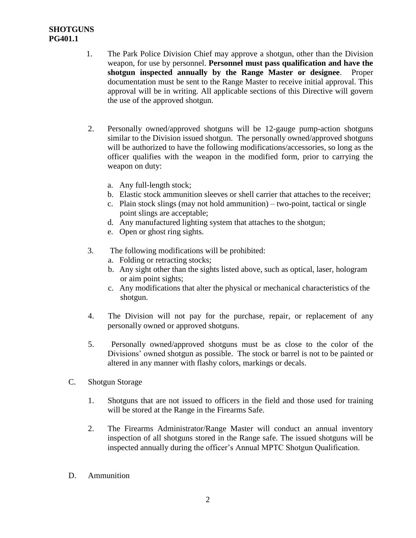### **SHOTGUNS PG401.1**

- 1. The Park Police Division Chief may approve a shotgun, other than the Division weapon, for use by personnel. **Personnel must pass qualification and have the shotgun inspected annually by the Range Master or designee**. Proper documentation must be sent to the Range Master to receive initial approval. This approval will be in writing. All applicable sections of this Directive will govern the use of the approved shotgun.
- 2. Personally owned/approved shotguns will be 12-gauge pump-action shotguns similar to the Division issued shotgun. The personally owned/approved shotguns will be authorized to have the following modifications/accessories, so long as the officer qualifies with the weapon in the modified form, prior to carrying the weapon on duty:
	- a. Any full-length stock;
	- b. Elastic stock ammunition sleeves or shell carrier that attaches to the receiver;
	- c. Plain stock slings (may not hold ammunition) two-point, tactical or single point slings are acceptable;
	- d. Any manufactured lighting system that attaches to the shotgun;
	- e. Open or ghost ring sights.
- 3. The following modifications will be prohibited:
	- a. Folding or retracting stocks;
	- b. Any sight other than the sights listed above, such as optical, laser, hologram or aim point sights;
	- c. Any modifications that alter the physical or mechanical characteristics of the shotgun.
- 4. The Division will not pay for the purchase, repair, or replacement of any personally owned or approved shotguns.
- 5. Personally owned/approved shotguns must be as close to the color of the Divisions' owned shotgun as possible. The stock or barrel is not to be painted or altered in any manner with flashy colors, markings or decals.
- C. Shotgun Storage
	- 1. Shotguns that are not issued to officers in the field and those used for training will be stored at the Range in the Firearms Safe.
	- 2. The Firearms Administrator/Range Master will conduct an annual inventory inspection of all shotguns stored in the Range safe. The issued shotguns will be inspected annually during the officer's Annual MPTC Shotgun Qualification.
- D. Ammunition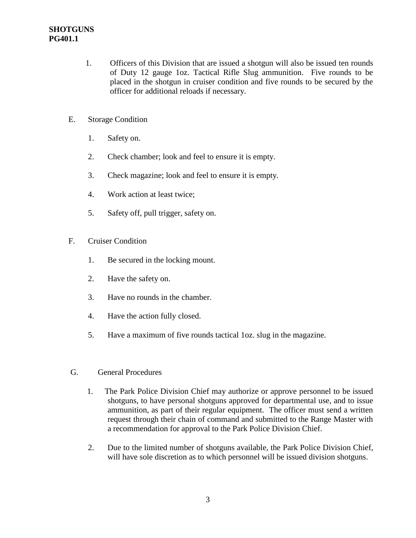- 1. Officers of this Division that are issued a shotgun will also be issued ten rounds of Duty 12 gauge 1oz. Tactical Rifle Slug ammunition. Five rounds to be placed in the shotgun in cruiser condition and five rounds to be secured by the officer for additional reloads if necessary.
- E. Storage Condition
	- 1. Safety on.
	- 2. Check chamber; look and feel to ensure it is empty.
	- 3. Check magazine; look and feel to ensure it is empty.
	- 4. Work action at least twice;
	- 5. Safety off, pull trigger, safety on.
- F. Cruiser Condition
	- 1. Be secured in the locking mount.
	- 2. Have the safety on.
	- 3. Have no rounds in the chamber.
	- 4. Have the action fully closed.
	- 5. Have a maximum of five rounds tactical 1oz. slug in the magazine.
- G. General Procedures
	- 1. The Park Police Division Chief may authorize or approve personnel to be issued shotguns, to have personal shotguns approved for departmental use, and to issue ammunition, as part of their regular equipment. The officer must send a written request through their chain of command and submitted to the Range Master with a recommendation for approval to the Park Police Division Chief.
	- 2. Due to the limited number of shotguns available, the Park Police Division Chief, will have sole discretion as to which personnel will be issued division shotguns.